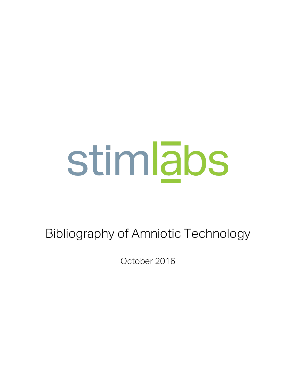Bibliography of Amniotic Technology

October 2016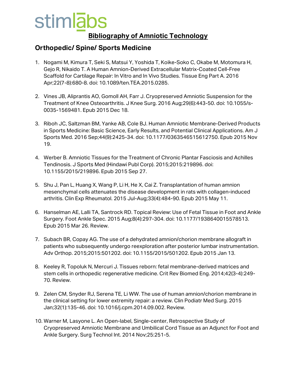#### **Bibliography of Amniotic Technology**

#### **Orthopedic/ Spine/ Sports Medicine**

- 1. Nogami M, Kimura T, Seki S, Matsui Y, Yoshida T, Koike-Soko C, Okabe M, Motomura H, Gejo R, Nikaido T. A Human Amnion-Derived Extracellular Matrix-Coated Cell-Free Scaffold for Cartilage Repair: In Vitro and In Vivo Studies. Tissue Eng Part A. 2016 Apr;22(7-8):680-8. doi: 10.1089/ten.TEA.2015.0285.
- 2. Vines JB, Aliprantis AO, Gomoll AH, Farr J. Cryopreserved Amniotic Suspension for the Treatment of Knee Osteoarthritis. J Knee Surg. 2016 Aug;29(6):443-50. doi: 10.1055/s-0035-1569481. Epub 2015 Dec 18.
- 3. Riboh JC, Saltzman BM, Yanke AB, Cole BJ. Human Amniotic Membrane-Derived Products in Sports Medicine: Basic Science, Early Results, and Potential Clinical Applications. Am J Sports Med. 2016 Sep;44(9):2425-34. doi: 10.1177/0363546515612750. Epub 2015 Nov 19.
- 4. Werber B. Amniotic Tissues for the Treatment of Chronic Plantar Fasciosis and Achilles Tendinosis. J Sports Med (Hindawi Publ Corp). 2015;2015:219896. doi: 10.1155/2015/219896. Epub 2015 Sep 27.
- 5. Shu J, Pan L, Huang X, Wang P, Li H, He X, Cai Z. Transplantation of human amnion mesenchymal cells attenuates the disease development in rats with collagen-induced arthritis. Clin Exp Rheumatol. 2015 Jul-Aug;33(4):484-90. Epub 2015 May 11.
- 6. Hanselman AE, Lalli TA, Santrock RD. Topical Review: Use of Fetal Tissue in Foot and Ankle Surgery. Foot Ankle Spec. 2015 Aug;8(4):297-304. doi: 10.1177/1938640015578513. Epub 2015 Mar 26. Review.
- 7. Subach BR, Copay AG. The use of a dehydrated amnion/chorion membrane allograft in patients who subsequently undergo reexploration after posterior lumbar instrumentation. Adv Orthop. 2015;2015:501202. doi: 10.1155/2015/501202. Epub 2015 Jan 13.
- 8. Keeley R, Topoluk N, Mercuri J. Tissues reborn: fetal membrane-derived matrices and stem cells in orthopedic regenerative medicine. Crit Rev Biomed Eng. 2014;42(3-4):249- 70. Review.
- 9. Zelen CM, Snyder RJ, Serena TE, Li WW. The use of human amnion/chorion membrane in the clinical setting for lower extremity repair: a review. Clin Podiatr Med Surg. 2015 Jan;32(1):135-46. doi: 10.1016/j.cpm.2014.09.002. Review.
- 10. Warner M, Lasyone L. An Open-label, Single-center, Retrospective Study of Cryopreserved Amniotic Membrane and Umbilical Cord Tissue as an Adjunct for Foot and Ankle Surgery. Surg Technol Int. 2014 Nov;25:251-5.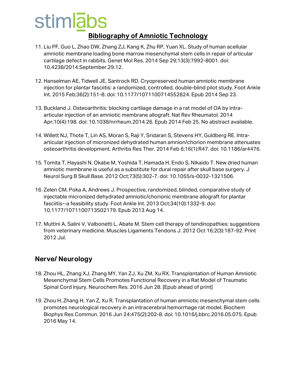#### **Bibliography of Amniotic Technology**

- 11. Liu PF, Guo L, Zhao DW, Zhang ZJ, Kang K, Zhu RP, Yuan XL. Study of human acellular amniotic membrane loading bone marrow mesenchymal stem cells in repair of articular cartilage defect in rabbits. Genet Mol Res. 2014 Sep 29;13(3):7992-8001. doi: 10.4238/2014.September.29.12.
- 12. Hanselman AE, Tidwell JE, Santrock RD. Cryopreserved human amniotic membrane injection for plantar fasciitis: a randomized, controlled, double-blind pilot study. Foot Ankle Int. 2015 Feb;36(2):151-8. doi: 10.1177/1071100714552824. Epub 2014 Sep 23.
- 13. Buckland J. Osteoarthritis: blocking cartilage damage in a rat model of OA by intraarticular injection of an amniotic membrane allograft. Nat Rev Rheumatol. 2014 Apr;10(4):198. doi: 10.1038/nrrheum.2014.26. Epub 2014 Feb 25. No abstract available.
- 14. Willett NJ, Thote T, Lin AS, Moran S, Raji Y, Sridaran S, Stevens HY, Guldberg RE. Intraarticular injection of micronized dehydrated human amnion/chorion membrane attenuates osteoarthritis development. Arthritis Res Ther. 2014 Feb 6;16(1):R47. doi: 10.1186/ar4476.
- 15. Tomita T, Hayashi N, Okabe M, Yoshida T, Hamada H, Endo S, Nikaido T. New dried human amniotic membrane is useful as a substitute for dural repair after skull base surgery. J Neurol Surg B Skull Base. 2012 Oct;73(5):302-7. doi: 10.1055/s-0032-1321506.
- 16. Zelen CM, Poka A, Andrews J. Prospective, randomized, blinded, comparative study of injectable micronized dehydrated amniotic/chorionic membrane allograft for plantar fasciitis--a feasibility study. Foot Ankle Int. 2013 Oct;34(10):1332-9. doi: 10.1177/1071100713502179. Epub 2013 Aug 14.
- 17. Muttini A, Salini V, Valbonetti L, Abate M. Stem cell therapy of tendinopathies: suggestions from veterinary medicine. Muscles Ligaments Tendons J. 2012 Oct 16;2(3):187-92. Print 2012 Jul.

#### **Nerve/ Neurology**

- 18. Zhou HL, Zhang XJ, Zhang MY, Yan ZJ, Xu ZM, Xu RX. Transplantation of Human Amniotic Mesenchymal Stem Cells Promotes Functional Recovery in a Rat Model of Traumatic Spinal Cord Injury. Neurochem Res. 2016 Jun 28. [Epub ahead of print]
- 19. Zhou H, Zhang H, Yan Z, Xu R. Transplantation of human amniotic mesenchymal stem cells promotes neurological recovery in an intracerebral hemorrhage rat model. Biochem Biophys Res Commun. 2016 Jun 24;475(2):202-8. doi: 10.1016/j.bbrc.2016.05.075. Epub 2016 May 14.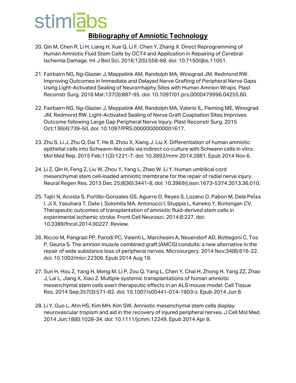- 20. Qin M, Chen R, Li H, Liang H, Xue Q, Li F, Chen Y, Zhang X. Direct Reprogramming of Human Amniotic Fluid Stem Cells by OCT4 and Application in Repairing of Cerebral Ischemia Damage. Int J Biol Sci. 2016;12(5):558-68. doi: 10.7150/ijbs.11051.
- 21. Fairbairn NG, Ng-Glazier J, Meppelink AM, Randolph MA, Winograd JM, Redmond RW. Improving Outcomes in Immediate and Delayed Nerve Grafting of Peripheral Nerve Gaps Using Light-Activated Sealing of Neurorrhaphy Sites with Human Amnion Wraps. Plast Reconstr Surg. 2016 Mar;137(3):887-95. doi: 10.1097/01.prs.0000479996.04255.60.
- 22. Fairbairn NG, Ng-Glazier J, Meppelink AM, Randolph MA, Valerio IL, Fleming ME, Winograd JM, Redmond RW. Light-Activated Sealing of Nerve Graft Coaptation Sites Improves Outcome following Large Gap Peripheral Nerve Injury. Plast Reconstr Surg. 2015 Oct;136(4):739-50. doi: 10.1097/PRS.0000000000001617.
- 23. Zhu S, Li J, Zhu Q, Dai T, He B, Zhou X, Xiang J, Liu X. Differentiation of human amniotic epithelial cells into Schwann-like cells via indirect co-culture with Schwann cells in vitro. Mol Med Rep. 2015 Feb;11(2):1221-7. doi: 10.3892/mmr.2014.2881. Epub 2014 Nov 6.
- 24. Li Z, Qin H, Feng Z, Liu W, Zhou Y, Yang L, Zhao W, Li Y. Human umbilical cord mesenchymal stem cell-loaded amniotic membrane for the repair of radial nerve injury. Neural Regen Res. 2013 Dec 25;8(36):3441-8. doi: 10.3969/j.issn.1673-5374.2013.36.010.
- 25. Tajiri N, Acosta S, Portillo-Gonzales GS, Aguirre D, Reyes S, Lozano D, Pabon M, Dela Pelta I, Ji X, Yasuhara T, Date I, Solomita MA, Antonucci I, Stuppia L, Kaneko Y, Borlongan CV. Therapeutic outcomes of transplantation of amniotic fluid-derived stem cells in experimental ischemic stroke. Front Cell Neurosci. 2014;8:227. doi: 10.3389/fncel.2014.00227. Review.
- 26. Riccio M, Pangrazi PP, Parodi PC, Vaienti L, Marchesini A, Neuendorf AD, Bottegoni C, Tos P, Geuna S. The amnion muscle combined graft (AMCG) conduits: a new alternative in the repair of wide substance loss of peripheral nerves. Microsurgery. 2014 Nov;34(8):616-22. doi: 10.1002/micr.22306. Epub 2014 Aug 18.
- 27. Sun H, Hou Z, Yang H, Meng M, Li P, Zou Q, Yang L, Chen Y, Chai H, Zhong H, Yang ZZ, Zhao J, Lai L, Jiang X, Xiao Z. Multiple systemic transplantations of human amniotic mesenchymal stem cells exert therapeutic effects in an ALS mouse model. Cell Tissue Res. 2014 Sep;357(3):571-82. doi: 10.1007/s00441-014-1903-z. Epub 2014 Jun 8.
- 28. Li Y, Guo L, Ahn HS, Kim MH, Kim SW. Amniotic mesenchymal stem cells display neurovascular tropism and aid in the recovery of injured peripheral nerves. J Cell Mol Med. 2014 Jun;18(6):1028-34. doi: 10.1111/jcmm.12249. Epub 2014 Apr 8.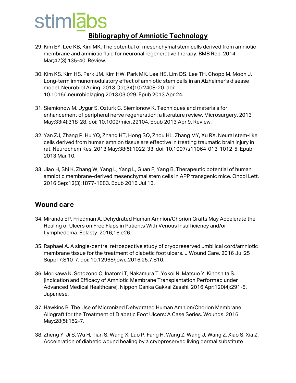### stimlabs **Bibliography of Amniotic Technology**

- 29. Kim EY, Lee KB, Kim MK. The potential of mesenchymal stem cells derived from amniotic membrane and amniotic fluid for neuronal regenerative therapy. BMB Rep. 2014 Mar;47(3):135-40. Review.
- 30. Kim KS, Kim HS, Park JM, Kim HW, Park MK, Lee HS, Lim DS, Lee TH, Chopp M, Moon J. Long-term immunomodulatory effect of amniotic stem cells in an Alzheimer's disease model. Neurobiol Aging. 2013 Oct;34(10):2408-20. doi: 10.1016/j.neurobiolaging.2013.03.029. Epub 2013 Apr 24.
- 31. Siemionow M, Uygur S, Ozturk C, Siemionow K. Techniques and materials for enhancement of peripheral nerve regeneration: a literature review. Microsurgery. 2013 May;33(4):318-28. doi: 10.1002/micr.22104. Epub 2013 Apr 9. Review.
- 32. Yan ZJ, Zhang P, Hu YQ, Zhang HT, Hong SQ, Zhou HL, Zhang MY, Xu RX. Neural stem-like cells derived from human amnion tissue are effective in treating traumatic brain injury in rat. Neurochem Res. 2013 May;38(5):1022-33. doi: 10.1007/s11064-013-1012-5. Epub 2013 Mar 10.
- 33. Jiao H, Shi K, Zhang W, Yang L, Yang L, Guan F, Yang B. Therapeutic potential of human amniotic membrane-derived mesenchymal stem cells in APP transgenic mice. Oncol Lett. 2016 Sep;12(3):1877-1883. Epub 2016 Jul 13.

#### **Wound care**

- 34. Miranda EP, Friedman A. Dehydrated Human Amnion/Chorion Grafts May Accelerate the Healing of Ulcers on Free Flaps in Patients With Venous Insufficiency and/or Lymphedema. Eplasty. 2016;16:e26.
- 35. Raphael A. A single-centre, retrospective study of cryopreserved umbilical cord/amniotic membrane tissue for the treatment of diabetic foot ulcers. J Wound Care. 2016 Jul;25 Suppl 7:S10-7. doi: 10.12968/jowc.2016.25.7.S10.
- 36. Morikawa K, Sotozono C, Inatomi T, Nakamura T, Yokoi N, Matsuo Y, Kinoshita S. [Indication and Efficacy of Amniotic Membrane Transplantation Performed under Advanced Medical Healthcare]. Nippon Ganka Gakkai Zasshi. 2016 Apr;120(4):291-5. Japanese.
- 37. Hawkins B. The Use of Micronized Dehydrated Human Amnion/Chorion Membrane Allograft for the Treatment of Diabetic Foot Ulcers: A Case Series. Wounds. 2016 May;28(5):152-7.
- 38. Zheng Y, Ji S, Wu H, Tian S, Wang X, Luo P, Fang H, Wang Z, Wang J, Wang Z, Xiao S, Xia Z. Acceleration of diabetic wound healing by a cryopreserved living dermal substitute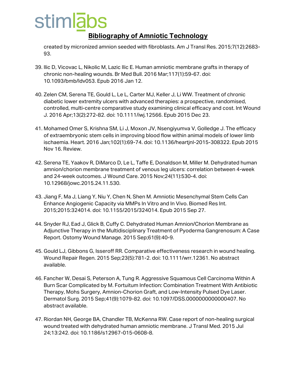#### **Bibliography of Amniotic Technology**

created by micronized amnion seeded with fibroblasts. Am J Transl Res. 2015;7(12):2683- 93.

- 39. Ilic D, Vicovac L, Nikolic M, Lazic Ilic E. Human amniotic membrane grafts in therapy of chronic non-healing wounds. Br Med Bull. 2016 Mar;117(1):59-67. doi: 10.1093/bmb/ldv053. Epub 2016 Jan 12.
- 40. Zelen CM, Serena TE, Gould L, Le L, Carter MJ, Keller J, Li WW. Treatment of chronic diabetic lower extremity ulcers with advanced therapies: a prospective, randomised, controlled, multi-centre comparative study examining clinical efficacy and cost. Int Wound J. 2016 Apr;13(2):272-82. doi: 10.1111/iwj.12566. Epub 2015 Dec 23.
- 41. Mohamed Omer S, Krishna SM, Li J, Moxon JV, Nsengiyumva V, Golledge J. The efficacy of extraembryonic stem cells in improving blood flow within animal models of lower limb ischaemia. Heart. 2016 Jan;102(1):69-74. doi: 10.1136/heartjnl-2015-308322. Epub 2015 Nov 16. Review.
- 42. Serena TE, Yaakov R, DiMarco D, Le L, Taffe E, Donaldson M, Miller M. Dehydrated human amnion/chorion membrane treatment of venous leg ulcers: correlation between 4-week and 24-week outcomes. J Wound Care. 2015 Nov;24(11):530-4. doi: 10.12968/jowc.2015.24.11.530.
- 43. Jiang F, Ma J, Liang Y, Niu Y, Chen N, Shen M. Amniotic Mesenchymal Stem Cells Can Enhance Angiogenic Capacity via MMPs In Vitro and In Vivo. Biomed Res Int. 2015;2015:324014. doi: 10.1155/2015/324014. Epub 2015 Sep 27.
- 44. Snyder RJ, Ead J, Glick B, Cuffy C. Dehydrated Human Amnion/Chorion Membrane as Adjunctive Therapy in the Multidisciplinary Treatment of Pyoderma Gangrenosum: A Case Report. Ostomy Wound Manage. 2015 Sep;61(9):40-9.
- 45. Gould LJ, Gibbons G, Isseroff RR. Comparative effectiveness research in wound healing. Wound Repair Regen. 2015 Sep;23(5):781-2. doi: 10.1111/wrr.12361. No abstract available.
- 46. Fancher W, Desai S, Peterson A, Tung R. Aggressive Squamous Cell Carcinoma Within A Burn Scar Complicated by M. Fortuitum Infection: Combination Treatment With Antibiotic Therapy, Mohs Surgery, Amnion-Chorion Graft, and Low-Intensity Pulsed Dye Laser. Dermatol Surg. 2015 Sep;41(9):1079-82. doi: 10.1097/DSS.0000000000000407. No abstract available.
- 47. Riordan NH, George BA, Chandler TB, McKenna RW. Case report of non-healing surgical wound treated with dehydrated human amniotic membrane. J Transl Med. 2015 Jul 24;13:242. doi: 10.1186/s12967-015-0608-8.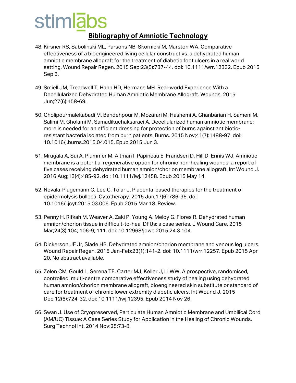- 48. Kirsner RS, Sabolinski ML, Parsons NB, Skornicki M, Marston WA. Comparative effectiveness of a bioengineered living cellular construct vs. a dehydrated human amniotic membrane allograft for the treatment of diabetic foot ulcers in a real world setting. Wound Repair Regen. 2015 Sep;23(5):737-44. doi: 10.1111/wrr.12332. Epub 2015 Sep 3.
- 49. Smiell JM, Treadwell T, Hahn HD, Hermans MH. Real-world Experience With a Decellularized Dehydrated Human Amniotic Membrane Allograft. Wounds. 2015 Jun;27(6):158-69.
- 50. Gholipourmalekabadi M, Bandehpour M, Mozafari M, Hashemi A, Ghanbarian H, Sameni M, Salimi M, Gholami M, Samadikuchaksaraei A. Decellularized human amniotic membrane: more is needed for an efficient dressing for protection of burns against antibioticresistant bacteria isolated from burn patients. Burns. 2015 Nov;41(7):1488-97. doi: 10.1016/j.burns.2015.04.015. Epub 2015 Jun 3.
- 51. Mrugala A, Sui A, Plummer M, Altman I, Papineau E, Frandsen D, Hill D, Ennis WJ. Amniotic membrane is a potential regenerative option for chronic non-healing wounds: a report of five cases receiving dehydrated human amnion/chorion membrane allograft. Int Wound J. 2016 Aug;13(4):485-92. doi: 10.1111/iwj.12458. Epub 2015 May 14.
- 52. Nevala-Plagemann C, Lee C, Tolar J. Placenta-based therapies for the treatment of epidermolysis bullosa. Cytotherapy. 2015 Jun;17(6):786-95. doi: 10.1016/j.jcyt.2015.03.006. Epub 2015 Mar 18. Review.
- 53. Penny H, Rifkah M, Weaver A, Zaki P, Young A, Meloy G, Flores R. Dehydrated human amnion/chorion tissue in difficult-to-heal DFUs: a case series. J Wound Care. 2015 Mar;24(3):104; 106-9; 111. doi: 10.12968/jowc.2015.24.3.104.
- 54. Dickerson JE Jr, Slade HB. Dehydrated amnion/chorion membrane and venous leg ulcers. Wound Repair Regen. 2015 Jan-Feb;23(1):141-2. doi: 10.1111/wrr.12257. Epub 2015 Apr 20. No abstract available.
- 55. Zelen CM, Gould L, Serena TE, Carter MJ, Keller J, Li WW. A prospective, randomised, controlled, multi-centre comparative effectiveness study of healing using dehydrated human amnion/chorion membrane allograft, bioengineered skin substitute or standard of care for treatment of chronic lower extremity diabetic ulcers. Int Wound J. 2015 Dec;12(6):724-32. doi: 10.1111/iwj.12395. Epub 2014 Nov 26.
- 56. Swan J. Use of Cryopreserved, Particulate Human Amniotic Membrane and Umbilical Cord (AM/UC) Tissue: A Case Series Study for Application in the Healing of Chronic Wounds. Surg Technol Int. 2014 Nov;25:73-8.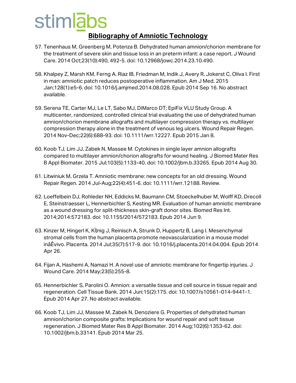- 57. Tenenhaus M, Greenberg M, Potenza B. Dehydrated human amnion/chorion membrane for the treatment of severe skin and tissue loss in an preterm infant: a case report. J Wound Care. 2014 Oct;23(10):490, 492-5. doi: 10.12968/jowc.2014.23.10.490.
- 58. Khalpey Z, Marsh KM, Ferng A, Riaz IB, Friedman M, Indik J, Avery R, Jokerst C, Oliva I. First in man: amniotic patch reduces postoperative inflammation. Am J Med. 2015 Jan;128(1):e5-6. doi: 10.1016/j.amjmed.2014.08.028. Epub 2014 Sep 16. No abstract available.
- 59. Serena TE, Carter MJ, Le LT, Sabo MJ, DiMarco DT; EpiFix VLU Study Group. A multicenter, randomized, controlled clinical trial evaluating the use of dehydrated human amnion/chorion membrane allografts and multilayer compression therapy vs. multilayer compression therapy alone in the treatment of venous leg ulcers. Wound Repair Regen. 2014 Nov-Dec;22(6):688-93. doi: 10.1111/wrr.12227. Epub 2015 Jan 8.
- 60. Koob TJ, Lim JJ, Zabek N, Massee M. Cytokines in single layer amnion allografts compared to multilayer amnion/chorion allografts for wound healing. J Biomed Mater Res B Appl Biomater. 2015 Jul;103(5):1133-40. doi: 10.1002/jbm.b.33265. Epub 2014 Aug 30.
- 61. Litwiniuk M, Grzela T. Amniotic membrane: new concepts for an old dressing. Wound Repair Regen. 2014 Jul-Aug;22(4):451-6. doi: 10.1111/wrr.12188. Review.
- 62. Loeffelbein DJ, Rohleder NH, Eddicks M, Baumann CM, Stoeckelhuber M, Wolff KD, Drecoll E, Steinstraesser L, Hennerbichler S, Kesting MR. Evaluation of human amniotic membrane as a wound dressing for split-thickness skin-graft donor sites. Biomed Res Int. 2014;2014:572183. doi: 10.1155/2014/572183. Epub 2014 Jun 9.
- 63. Kinzer M, Hingerl K, KÌ|nig J, Reinisch A, Strunk D, Huppertz B, Lang I. Mesenchymal stromal cells from the human placenta promote neovascularization in a mouse model inåÊvivo. Placenta. 2014 Jul;35(7):517-9. doi: 10.1016/j.placenta.2014.04.004. Epub 2014 Apr 26.
- 64. Fijan A, Hashemi A, Namazi H. A novel use of amniotic membrane for fingertip injuries. J Wound Care. 2014 May;23(5):255-8.
- 65. Hennerbichler S, Parolini O. Amnion: a versatile tissue and cell source in tissue repair and regeneration. Cell Tissue Bank. 2014 Jun;15(2):175. doi: 10.1007/s10561-014-9441-1. Epub 2014 Apr 27. No abstract available.
- 66. Koob TJ, Lim JJ, Massee M, Zabek N, Denoziere G. Properties of dehydrated human amnion/chorion composite grafts: Implications for wound repair and soft tissue regeneration. J Biomed Mater Res B Appl Biomater. 2014 Aug;102(6):1353-62. doi: 10.1002/jbm.b.33141. Epub 2014 Mar 25.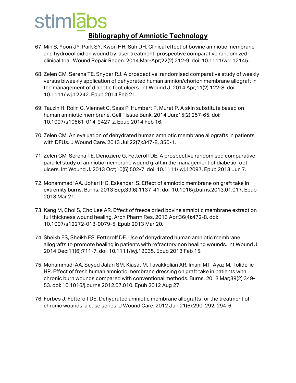- 67. Min S, Yoon JY, Park SY, Kwon HH, Suh DH. Clinical effect of bovine amniotic membrane and hydrocolloid on wound by laser treatment: prospective comparative randomized clinical trial. Wound Repair Regen. 2014 Mar-Apr;22(2):212-9. doi: 10.1111/wrr.12145.
- 68. Zelen CM, Serena TE, Snyder RJ. A prospective, randomised comparative study of weekly versus biweekly application of dehydrated human amnion/chorion membrane allograft in the management of diabetic foot ulcers. Int Wound J. 2014 Apr;11(2):122-8. doi: 10.1111/iwj.12242. Epub 2014 Feb 21.
- 69. Tauzin H, Rolin G, Viennet C, Saas P, Humbert P, Muret P. A skin substitute based on human amniotic membrane. Cell Tissue Bank. 2014 Jun;15(2):257-65. doi: 10.1007/s10561-014-9427-z. Epub 2014 Feb 16.
- 70. Zelen CM. An evaluation of dehydrated human amniotic membrane allografts in patients with DFUs. J Wound Care. 2013 Jul;22(7):347-8, 350-1.
- 71. Zelen CM, Serena TE, Denoziere G, Fetterolf DE. A prospective randomised comparative parallel study of amniotic membrane wound graft in the management of diabetic foot ulcers. Int Wound J. 2013 Oct;10(5):502-7. doi: 10.1111/iwj.12097. Epub 2013 Jun 7.
- 72. Mohammadi AA, Johari HG, Eskandari S. Effect of amniotic membrane on graft take in extremity burns. Burns. 2013 Sep;39(6):1137-41. doi: 10.1016/j.burns.2013.01.017. Epub 2013 Mar 21.
- 73. Kang M, Choi S, Cho Lee AR. Effect of freeze dried bovine amniotic membrane extract on full thickness wound healing. Arch Pharm Res. 2013 Apr;36(4):472-8. doi: 10.1007/s12272-013-0079-5. Epub 2013 Mar 20.
- 74. Sheikh ES, Sheikh ES, Fetterolf DE. Use of dehydrated human amniotic membrane allografts to promote healing in patients with refractory non healing wounds. Int Wound J. 2014 Dec;11(6):711-7. doi: 10.1111/iwj.12035. Epub 2013 Feb 15.
- 75. Mohammadi AA, Seyed Jafari SM, Kiasat M, Tavakkolian AR, Imani MT, Ayaz M, Tolide-ie HR. Effect of fresh human amniotic membrane dressing on graft take in patients with chronic burn wounds compared with conventional methods. Burns. 2013 Mar;39(2):349- 53. doi: 10.1016/j.burns.2012.07.010. Epub 2012 Aug 27.
- 76. Forbes J, Fetterolf DE. Dehydrated amniotic membrane allografts for the treatment of chronic wounds: a case series. J Wound Care. 2012 Jun;21(6):290, 292, 294-6.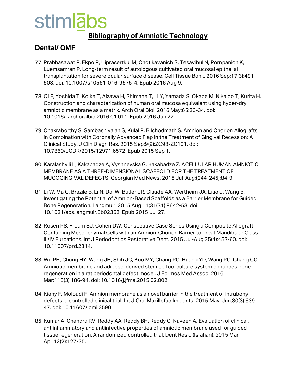#### **Bibliography of Amniotic Technology**

#### **Dental/ OMF**

- 77. Prabhasawat P, Ekpo P, Uiprasertkul M, Chotikavanich S, Tesavibul N, Pornpanich K, Luemsamran P. Long-term result of autologous cultivated oral mucosal epithelial transplantation for severe ocular surface disease. Cell Tissue Bank. 2016 Sep;17(3):491- 503. doi: 10.1007/s10561-016-9575-4. Epub 2016 Aug 9.
- 78. Qi F, Yoshida T, Koike T, Aizawa H, Shimane T, Li Y, Yamada S, Okabe M, Nikaido T, Kurita H. Construction and characterization of human oral mucosa equivalent using hyper-dry amniotic membrane as a matrix. Arch Oral Biol. 2016 May;65:26-34. doi: 10.1016/j.archoralbio.2016.01.011. Epub 2016 Jan 22.
- 79. Chakraborthy S, Sambashivaiah S, Kulal R, Bilchodmath S. Amnion and Chorion Allografts in Combination with Coronally Advanced Flap in the Treatment of Gingival Recession: A Clinical Study. J Clin Diagn Res. 2015 Sep;9(9):ZC98-ZC101. doi: 10.7860/JCDR/2015/12971.6572. Epub 2015 Sep 1.
- 80. Karalashvili L, Kakabadze A, Vyshnevska G, Kakabadze Z. ACELLULAR HUMAN AMNIOTIC MEMBRANE AS A THREE-DIMENSIONAL SCAFFOLD FOR THE TREATMENT OF MUCOGINGIVAL DEFECTS. Georgian Med News. 2015 Jul-Aug;(244-245):84-9.
- 81. Li W, Ma G, Brazile B, Li N, Dai W, Butler JR, Claude AA, Wertheim JA, Liao J, Wang B. Investigating the Potential of Amnion-Based Scaffolds as a Barrier Membrane for Guided Bone Regeneration. Langmuir. 2015 Aug 11;31(31):8642-53. doi: 10.1021/acs.langmuir.5b02362. Epub 2015 Jul 27.
- 82. Rosen PS, Froum SJ, Cohen DW. Consecutive Case Series Using a Composite Allograft Containing Mesenchymal Cells with an Amnion-Chorion Barrier to Treat Mandibular Class III/IV Furcations. Int J Periodontics Restorative Dent. 2015 Jul-Aug;35(4):453-60. doi: 10.11607/prd.2314.
- 83. Wu PH, Chung HY, Wang JH, Shih JC, Kuo MY, Chang PC, Huang YD, Wang PC, Chang CC. Amniotic membrane and adipose-derived stem cell co-culture system enhances bone regeneration in a rat periodontal defect model. J Formos Med Assoc. 2016 Mar;115(3):186-94. doi: 10.1016/j.jfma.2015.02.002.
- 84. Kiany F, Moloudi F. Amnion membrane as a novel barrier in the treatment of intrabony defects: a controlled clinical trial. Int J Oral Maxillofac Implants. 2015 May-Jun;30(3):639- 47. doi: 10.11607/jomi.3590.
- 85. Kumar A, Chandra RV, Reddy AA, Reddy BH, Reddy C, Naveen A. Evaluation of clinical, antiinflammatory and antiinfective properties of amniotic membrane used for guided tissue regeneration: A randomized controlled trial. Dent Res J (Isfahan). 2015 Mar-Apr;12(2):127-35.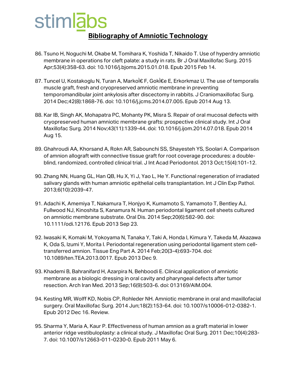### stimlabs **Bibliography of Amniotic Technology**

- 86. Tsuno H, Noguchi M, Okabe M, Tomihara K, Yoshida T, Nikaido T. Use of hyperdry amniotic membrane in operations for cleft palate: a study in rats. Br J Oral Maxillofac Surg. 2015 Apr;53(4):358-63. doi: 10.1016/j.bjoms.2015.01.018. Epub 2015 Feb 14.
- 87. Tuncel U, Kostakoglu N, Turan A, Markò F, GokÌ€e E, Erkorkmaz U. The use of temporalis muscle graft, fresh and cryopreserved amniotic membrane in preventing temporomandibular joint ankylosis after discectomy in rabbits. J Craniomaxillofac Surg. 2014 Dec;42(8):1868-76. doi: 10.1016/j.jcms.2014.07.005. Epub 2014 Aug 13.
- 88. Kar IB, Singh AK, Mohapatra PC, Mohanty PK, Misra S. Repair of oral mucosal defects with cryopreserved human amniotic membrane grafts: prospective clinical study. Int J Oral Maxillofac Surg. 2014 Nov;43(11):1339-44. doi: 10.1016/j.ijom.2014.07.018. Epub 2014 Aug 15.
- 89. Ghahroudi AA, Khorsand A, Rokn AR, Sabounchi SS, Shayesteh YS, Soolari A. Comparison of amnion allograft with connective tissue graft for root coverage procedures: a doubleblind, randomized, controlled clinical trial. J Int Acad Periodontol. 2013 Oct;15(4):101-12.
- 90. Zhang NN, Huang GL, Han QB, Hu X, Yi J, Yao L, He Y. Functional regeneration of irradiated salivary glands with human amniotic epithelial cells transplantation. Int J Clin Exp Pathol. 2013;6(10):2039-47.
- 91. Adachi K, Amemiya T, Nakamura T, Honjyo K, Kumamoto S, Yamamoto T, Bentley AJ, Fullwood NJ, Kinoshita S, Kanamura N. Human periodontal ligament cell sheets cultured on amniotic membrane substrate. Oral Dis. 2014 Sep;20(6):582-90. doi: 10.1111/odi.12176. Epub 2013 Sep 23.
- 92. Iwasaki K, Komaki M, Yokoyama N, Tanaka Y, Taki A, Honda I, Kimura Y, Takeda M, Akazawa K, Oda S, Izumi Y, Morita I. Periodontal regeneration using periodontal ligament stem celltransferred amnion. Tissue Eng Part A. 2014 Feb;20(3-4):693-704. doi: 10.1089/ten.TEA.2013.0017. Epub 2013 Dec 9.
- 93. Khademi B, Bahranifard H, Azarpira N, Behboodi E. Clinical application of amniotic membrane as a biologic dressing in oral cavity and pharyngeal defects after tumor resection. Arch Iran Med. 2013 Sep;16(9):503-6. doi: 013169/AIM.004.
- 94. Kesting MR, Wolff KD, Nobis CP, Rohleder NH. Amniotic membrane in oral and maxillofacial surgery. Oral Maxillofac Surg. 2014 Jun;18(2):153-64. doi: 10.1007/s10006-012-0382-1. Epub 2012 Dec 16. Review.
- 95. Sharma Y, Maria A, Kaur P. Effectiveness of human amnion as a graft material in lower anterior ridge vestibuloplasty: a clinical study. J Maxillofac Oral Surg. 2011 Dec;10(4):283- 7. doi: 10.1007/s12663-011-0230-0. Epub 2011 May 6.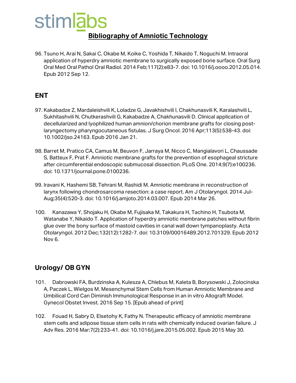### stimlabs **Bibliography of Amniotic Technology**

96. Tsuno H, Arai N, Sakai C, Okabe M, Koike C, Yoshida T, Nikaido T, Noguchi M. Intraoral application of hyperdry amniotic membrane to surgically exposed bone surface. Oral Surg Oral Med Oral Pathol Oral Radiol. 2014 Feb;117(2):e83-7. doi: 10.1016/j.oooo.2012.05.014. Epub 2012 Sep 12.

#### **ENT**

- 97. Kakabadze Z, Mardaleishvili K, Loladze G, Javakhishvili I, Chakhunasvili K, Karalashvili L, Sukhitashvili N, Chutkerashvili G, Kakabadze A, Chakhunasvili D. Clinical application of decellularized and lyophilized human amnion/chorion membrane grafts for closing postlaryngectomy pharyngocutaneous fistulas. J Surg Oncol. 2016 Apr;113(5):538-43. doi: 10.1002/jso.24163. Epub 2016 Jan 21.
- 98. Barret M, Pratico CA, Camus M, Beuvon F, Jarraya M, Nicco C, Mangialavori L, Chaussade S, Batteux F, Prat F. Amniotic membrane grafts for the prevention of esophageal stricture after circumferential endoscopic submucosal dissection. PLoS One. 2014;9(7):e100236. doi: 10.1371/journal.pone.0100236.
- 99. Iravani K, Hashemi SB, Tehrani M, Rashidi M. Amniotic membrane in reconstruction of larynx following chondrosarcoma resection: a case report. Am J Otolaryngol. 2014 Jul-Aug;35(4):520-3. doi: 10.1016/j.amjoto.2014.03.007. Epub 2014 Mar 26.
- 100. Kanazawa Y, Shojaku H, Okabe M, Fujisaka M, Takakura H, Tachino H, Tsubota M, Watanabe Y, Nikaido T. Application of hyperdry amniotic membrane patches without fibrin glue over the bony surface of mastoid cavities in canal wall down tympanoplasty. Acta Otolaryngol. 2012 Dec;132(12):1282-7. doi: 10.3109/00016489.2012.701329. Epub 2012 Nov 6.

#### **Urology/ OB GYN**

- 101. Dabrowski FA, Burdzinska A, Kulesza A, Chlebus M, Kaleta B, Borysowski J, Zolocinska A, Paczek L, Wielgos M. Mesenchymal Stem Cells from Human Amniotic Membrane and Umbilical Cord Can Diminish Immunological Response in an in vitro Allograft Model. Gynecol Obstet Invest. 2016 Sep 15. [Epub ahead of print]
- 102. Fouad H, Sabry D, Elsetohy K, Fathy N. Therapeutic efficacy of amniotic membrane stem cells and adipose tissue stem cells in rats with chemically induced ovarian failure. J Adv Res. 2016 Mar;7(2):233-41. doi: 10.1016/j.jare.2015.05.002. Epub 2015 May 30.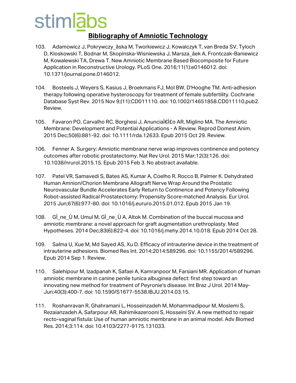- 103. Adamowicz J, Pokrywczy\_ãska M, Tworkiewicz J, Kowalczyk T, van Breda SV, Tyloch D, Kloskowski T, Bodnar M, Skopinska-Wisniewska J, Marsza\_âek A, Frontczak-Baniewicz M, Kowalewski TA, Drewa T. New Amniotic Membrane Based Biocomposite for Future Application in Reconstructive Urology. PLoS One. 2016;11(1):e0146012. doi: 10.1371/journal.pone.0146012.
- 104. Bosteels J, Weyers S, Kasius J, Broekmans FJ, Mol BW, D'Hooghe TM. Anti-adhesion therapy following operative hysteroscopy for treatment of female subfertility. Cochrane Database Syst Rev. 2015 Nov 9;(11):CD011110. doi: 10.1002/14651858.CD011110.pub2. Review.
- 105. Favaron PO, Carvalho RC, Borghesi J, AnunciaÌ€Ì£o AR, Miglino MA. The Amniotic Membrane: Development and Potential Applications - A Review. Reprod Domest Anim. 2015 Dec;50(6):881-92. doi: 10.1111/rda.12633. Epub 2015 Oct 29. Review.
- 106. Fenner A. Surgery: Amniotic membrane nerve wrap improves continence and potency outcomes after robotic prostatectomy. Nat Rev Urol. 2015 Mar;12(3):126. doi: 10.1038/nrurol.2015.15. Epub 2015 Feb 3. No abstract available.
- 107. Patel VR, Samavedi S, Bates AS, Kumar A, Coelho R, Rocco B, Palmer K. Dehydrated Human Amnion/Chorion Membrane Allograft Nerve Wrap Around the Prostatic Neurovascular Bundle Accelerates Early Return to Continence and Potency Following Robot-assisted Radical Prostatectomy: Propensity Score-matched Analysis. Eur Urol. 2015 Jun;67(6):977-80. doi: 10.1016/j.eururo.2015.01.012. Epub 2015 Jan 19.
- 108. GÌ\_ne\_Ù M, Umul M, GÌ\_ne\_Ù A, Altok M. Combination of the buccal mucosa and amniotic membrane: a novel approach for graft augmentation urethroplasty. Med Hypotheses. 2014 Dec;83(6):822-4. doi: 10.1016/j.mehy.2014.10.018. Epub 2014 Oct 28.
- 109. Salma U, Xue M, Md Sayed AS, Xu D. Efficacy of intrauterine device in the treatment of intrauterine adhesions. Biomed Res Int. 2014;2014:589296. doi: 10.1155/2014/589296. Epub 2014 Sep 1. Review.
- 110. Salehipour M, Izadpanah K, Safaei A, Kamranpoor M, Farsiani MR. Application of human amniotic membrane in canine penile tunica albuginea defect: first step toward an innovating new method for treatment of Peyronie's disease. Int Braz J Urol. 2014 May-Jun;40(3):400-7. doi: 10.1590/S1677-5538.IBJU.2014.03.15.
- 111. Roshanravan R, Ghahramani L, Hosseinzadeh M, Mohammadipour M, Moslemi S, Rezaianzadeh A, Safarpour AR, Rahimikazerooni S, Hosseini SV. A new method to repair recto-vaginal fistula: Use of human amniotic membrane in an animal model. Adv Biomed Res. 2014;3:114. doi: 10.4103/2277-9175.131033.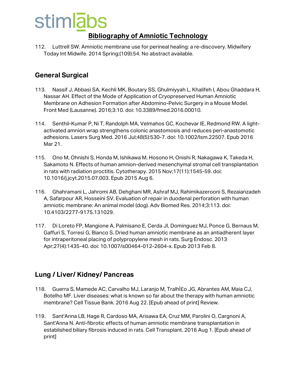#### **Bibliography of Amniotic Technology**

112. Luttrell SW. Amniotic membrane use for perineal healing: a re-discovery. Midwifery Today Int Midwife. 2014 Spring;(109):54. No abstract available.

#### **General Surgical**

- 113. Nassif J, Abbasi SA, Kechli MK, Boutary SS, Ghulmiyyah L, Khalifeh I, Abou Ghaddara H, Nassar AH. Effect of the Mode of Application of Cryopreserved Human Amniotic Membrane on Adhesion Formation after Abdomino-Pelvic Surgery in a Mouse Model. Front Med (Lausanne). 2016;3:10. doi: 10.3389/fmed.2016.00010.
- 114. Senthil-Kumar P, Ni T, Randolph MA, Velmahos GC, Kochevar IE, Redmond RW. A lightactivated amnion wrap strengthens colonic anastomosis and reduces peri-anastomotic adhesions. Lasers Surg Med. 2016 Jul;48(5):530-7. doi: 10.1002/lsm.22507. Epub 2016 Mar 21.
- 115. Ono M, Ohnishi S, Honda M, Ishikawa M, Hosono H, Onishi R, Nakagawa K, Takeda H, Sakamoto N. Effects of human amnion-derived mesenchymal stromal cell transplantation in rats with radiation proctitis. Cytotherapy. 2015 Nov;17(11):1545-59. doi: 10.1016/j.jcyt.2015.07.003. Epub 2015 Aug 6.
- 116. Ghahramani L, Jahromi AB, Dehghani MR, Ashraf MJ, Rahimikazerooni S, Rezaianzadeh A, Safarpour AR, Hosseini SV. Evaluation of repair in duodenal perforation with human amniotic membrane: An animal model (dog). Adv Biomed Res. 2014;3:113. doi: 10.4103/2277-9175.131029.
- 117. Di Loreto FP, Mangione A, Palmisano E, Cerda JI, Dominguez MJ, Ponce G, Bernaus M, Gaffuri S, Torresi G, Bianco S. Dried human amniotic membrane as an antiadherent layer for intraperitoneal placing of polypropylene mesh in rats. Surg Endosc. 2013 Apr;27(4):1435-40. doi: 10.1007/s00464-012-2604-x. Epub 2013 Feb 8.

#### **Lung / Liver/ Kidney/ Pancreas**

- 118. Guerra S, Mamede AC, Carvalho MJ, Laranjo M, Tralhito JG, Abrantes AM, Maia CJ, Botelho MF. Liver diseases: what is known so far about the therapy with human amniotic membrane? Cell Tissue Bank. 2016 Aug 22. [Epub ahead of print] Review.
- 119. Sant'Anna LB, Hage R, Cardoso MA, Arisawa EA, Cruz MM, Parolini O, Cargnoni A, Sant'Anna N. Anti-fibrotic effects of human amniotic membrane transplantation in established biliary fibrosis induced in rats. Cell Transplant. 2016 Aug 1. [Epub ahead of print]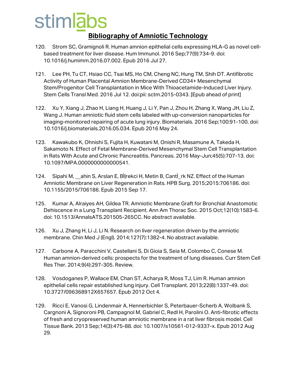- 120. Strom SC, Gramignoli R. Human amnion epithelial cells expressing HLA-G as novel cellbased treatment for liver disease. Hum Immunol. 2016 Sep;77(9):734-9. doi: 10.1016/j.humimm.2016.07.002. Epub 2016 Jul 27.
- 121. Lee PH, Tu CT, Hsiao CC, Tsai MS, Ho CM, Cheng NC, Hung TM, Shih DT. Antifibrotic Activity of Human Placental Amnion Membrane-Derived CD34+ Mesenchymal Stem/Progenitor Cell Transplantation in Mice With Thioacetamide-Induced Liver Injury. Stem Cells Transl Med. 2016 Jul 12. doi:pii: sctm.2015-0343. [Epub ahead of print]
- 122. Xu Y, Xiang J, Zhao H, Liang H, Huang J, Li Y, Pan J, Zhou H, Zhang X, Wang JH, Liu Z, Wang J. Human amniotic fluid stem cells labeled with up-conversion nanoparticles for imaging-monitored repairing of acute lung injury. Biomaterials. 2016 Sep;100:91-100. doi: 10.1016/j.biomaterials.2016.05.034. Epub 2016 May 24.
- 123. Kawakubo K, Ohnishi S, Fujita H, Kuwatani M, Onishi R, Masamune A, Takeda H, Sakamoto N. Effect of Fetal Membrane-Derived Mesenchymal Stem Cell Transplantation in Rats With Acute and Chronic Pancreatitis. Pancreas. 2016 May-Jun;45(5):707-13. doi: 10.1097/MPA.0000000000000541.
- 124. Sipahi M, ahin S, Arslan E, BÌ|rekci H, Metin B, CantÌ\_rk NZ. Effect of the Human Amniotic Membrane on Liver Regeneration in Rats. HPB Surg. 2015;2015:706186. doi: 10.1155/2015/706186. Epub 2015 Sep 17.
- 125. Kumar A, Alraiyes AH, Gildea TR. Amniotic Membrane Graft for Bronchial Anastomotic Dehiscence in a Lung Transplant Recipient. Ann Am Thorac Soc. 2015 Oct;12(10):1583-6. doi: 10.1513/AnnalsATS.201505-265CC. No abstract available.
- 126. Xu J, Zhang H, Li J, Li N. Research on liver regeneration driven by the amniotic membrane. Chin Med J (Engl). 2014;127(7):1382-4. No abstract available.
- 127. Carbone A, Paracchini V, Castellani S, Di Gioia S, Seia M, Colombo C, Conese M. Human amnion-derived cells: prospects for the treatment of lung diseases. Curr Stem Cell Res Ther. 2014;9(4):297-305. Review.
- 128. Vosdoganes P, Wallace EM, Chan ST, Acharya R, Moss TJ, Lim R. Human amnion epithelial cells repair established lung injury. Cell Transplant. 2013;22(8):1337-49. doi: 10.3727/096368912X657657. Epub 2012 Oct 4.
- 129. Ricci E, Vanosi G, Lindenmair A, Hennerbichler S, Peterbauer-Scherb A, Wolbank S, Cargnoni A, Signoroni PB, Campagnol M, Gabriel C, Redl H, Parolini O. Anti-fibrotic effects of fresh and cryopreserved human amniotic membrane in a rat liver fibrosis model. Cell Tissue Bank. 2013 Sep;14(3):475-88. doi: 10.1007/s10561-012-9337-x. Epub 2012 Aug 29.